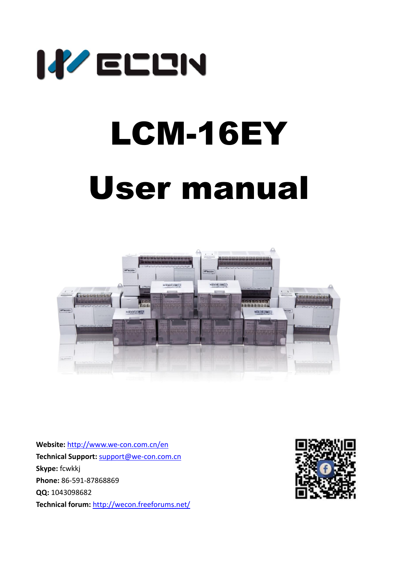

# LCM-16EY User manual



**Website:** <http://www.we-con.com.cn/en> **Technical Support:** [support@we-con.com.cn](mailto:support@we-con.com.cn) **Skype:** fcwkkj **Phone:** 86-591-87868869 **QQ:** 1043098682 **Technical forum:** <http://wecon.freeforums.net/>

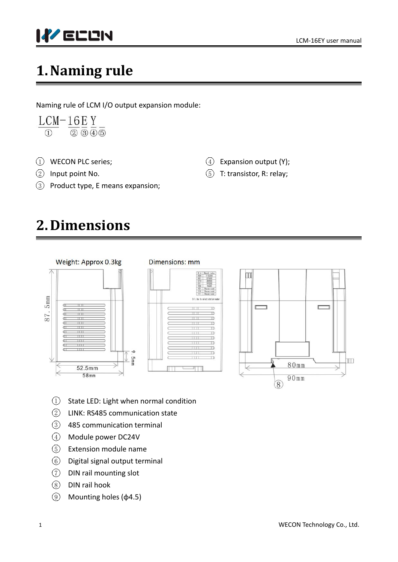

# **1.Naming rule**

Naming rule of LCM I/O output expansion module:

 $LCM-16EY$  $\overline{1}$   $\overline{2}$   $\overline{3}$   $\overline{4}$   $\overline{5}$ 

- (1) WECON PLC series;
- $(2)$  Input point No.
- 3 Product type, E means expansion;

# **2.Dimensions**



#### Dimensions: mm





 $(4)$  Expansion output (Y);  $(5)$  T: transistor, R: relay;

- $(1)$  State LED: Light when normal condition
- 2 LINK: RS485 communication state
- 3 485 communication terminal
- 4 Module power DC24V
- 5 Extension module name
- 6 Digital signal output terminal
- 7 DIN rail mounting slot
- $(8)$  DIN rail hook
- $(9)$  Mounting holes (φ4.5)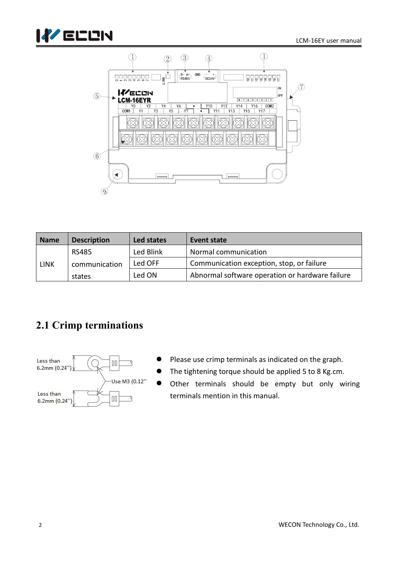



| <b>Name</b> | <b>Description</b> | Led states | Event state                                     |
|-------------|--------------------|------------|-------------------------------------------------|
|             | <b>RS485</b>       | Led Blink  | Normal communication                            |
| <b>LINK</b> | communication      | Led OFF    | Communication exception, stop, or failure       |
|             | states             | Led ON     | Abnormal software operation or hardware failure |

## **2.1 Crimp terminations**



- Please use crimp terminals as indicated on the graph.
- The tightening torque should be applied 5 to 8 Kg.cm.
- Other terminals should be empty but only wiring terminals mention in this manual.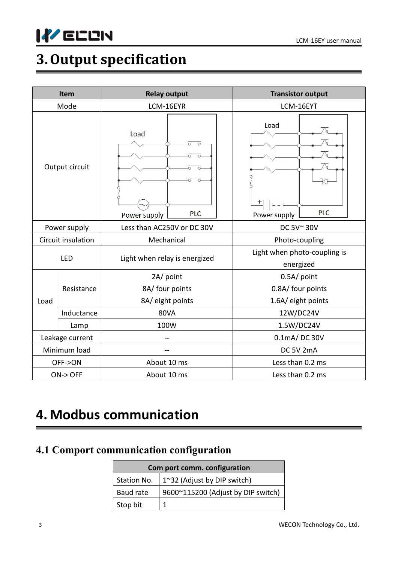

# **3.Output specification**

|              | Item               | <b>Relay output</b>                | <b>Transistor output</b>                     |  |
|--------------|--------------------|------------------------------------|----------------------------------------------|--|
|              | Mode               | LCM-16EYR                          | LCM-16EYT                                    |  |
|              | Output circuit     | Load<br><b>PLC</b><br>Power supply | Load<br>$^{+}$<br><b>PLC</b><br>Power supply |  |
|              | Power supply       | Less than AC250V or DC 30V         | DC 5V~30V                                    |  |
|              | Circuit insulation | Mechanical                         | Photo-coupling                               |  |
|              | LED                | Light when relay is energized      | Light when photo-coupling is<br>energized    |  |
|              |                    | 2A/ point                          | 0.5A/ point                                  |  |
|              | Resistance         | 8A/ four points                    | 0.8A/ four points                            |  |
| Load         |                    | 8A/ eight points                   | 1.6A/ eight points                           |  |
|              | Inductance         | <b>80VA</b>                        | 12W/DC24V                                    |  |
|              | Lamp               | 100W                               | 1.5W/DC24V                                   |  |
|              | Leakage current    |                                    | 0.1mA/DC 30V                                 |  |
| Minimum load |                    |                                    | DC 5V 2mA                                    |  |
| OFF->ON      |                    | About 10 ms                        | Less than 0.2 ms                             |  |
|              | $ON$ -> OFF        | About 10 ms                        | Less than 0.2 ms                             |  |

# **4. Modbus communication**

## **4.1 Comport communication configuration**

| Com port comm. configuration |                                                 |  |  |
|------------------------------|-------------------------------------------------|--|--|
|                              | Station No. $\vert$ 1~32 (Adjust by DIP switch) |  |  |
| Baud rate                    | 9600~115200 (Adjust by DIP switch)              |  |  |
| Stop bit                     |                                                 |  |  |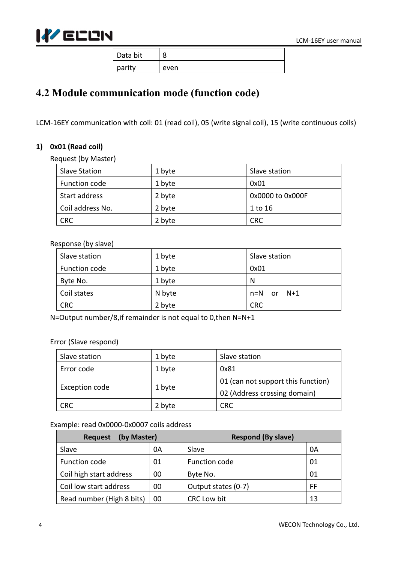

Data bit  $\vert 8$ parity | even

## **4.2 Module communication mode (function code)**

LCM-16EY communication with coil: 01 (read coil), 05 (write signal coil), 15 (write continuous coils)

#### **1) 0x01 (Read coil)**

Request (by Master)

| <b>Slave Station</b> | 1 byte | Slave station    |
|----------------------|--------|------------------|
| Function code        | 1 byte | 0x01             |
| Start address        | 2 byte | 0x0000 to 0x000F |
| Coil address No.     | 2 byte | 1 to 16          |
| <b>CRC</b>           | 2 byte | <b>CRC</b>       |

#### Response (by slave)

| Slave station | 1 byte | Slave station |
|---------------|--------|---------------|
| Function code | 1 byte | 0x01          |
| Byte No.      | 1 byte | N             |
| Coil states   | N byte | n=N<br>or N+1 |
| <b>CRC</b>    | 2 byte | <b>CRC</b>    |

N=Output number/8,if remainder is not equal to 0,then N=N+1

#### Error (Slave respond)

| Slave station  | 1 byte | Slave station                      |
|----------------|--------|------------------------------------|
| Error code     | 1 byte | 0x81                               |
|                |        | 01 (can not support this function) |
| Exception code | 1 byte | 02 (Address crossing domain)       |
| <b>CRC</b>     | 2 byte | CRC                                |

#### Example: read 0x0000-0x0007 coils address

| (by Master)<br><b>Request</b> |    | <b>Respond (By slave)</b> |    |
|-------------------------------|----|---------------------------|----|
| Slave                         | 0A | Slave                     | 0A |
| Function code                 | 01 | Function code             | 01 |
| Coil high start address       | 00 | Byte No.                  | 01 |
| Coil low start address        | 00 | Output states (0-7)       | FF |
| Read number (High 8 bits)     | 00 | <b>CRC Low bit</b>        | 13 |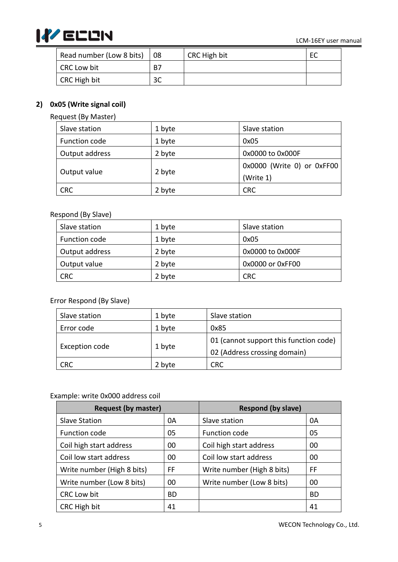

| Read number (Low 8 bits)  | $^{\dagger}$ 08           | CRC High bit | ᇿ |
|---------------------------|---------------------------|--------------|---|
| <b>CRC Low bit</b>        | B7                        |              |   |
| <sup>I</sup> CRC High bit | $\mathfrak{D} \cap$<br>υc |              |   |

#### **2) 0x05 (Write signal coil)**

Request (By Master)

| Slave station  | 1 byte         | Slave station              |
|----------------|----------------|----------------------------|
| Function code  | 1 byte<br>0x05 |                            |
| Output address | 2 byte         | 0x0000 to 0x000F           |
|                |                | 0x0000 (Write 0) or 0xFF00 |
| Output value   | 2 byte         | (Write 1)                  |
| <b>CRC</b>     | 2 byte         | <b>CRC</b>                 |

#### Respond (By Slave)

| Slave station  | 1 byte | Slave station    |
|----------------|--------|------------------|
| Function code  | 1 byte | 0x05             |
| Output address | 2 byte | 0x0000 to 0x000F |
| Output value   | 2 byte | 0x0000 or 0xFF00 |
| <b>CRC</b>     | 2 byte | <b>CRC</b>       |

#### Error Respond (By Slave)

| Slave station  | 1 byte | Slave station                          |
|----------------|--------|----------------------------------------|
| Error code     | 1 byte | 0x85                                   |
|                |        | 01 (cannot support this function code) |
| Exception code | 1 byte | 02 (Address crossing domain)           |
| <b>CRC</b>     | 2 byte | <b>CRC</b>                             |

#### Example: write 0x000 address coil

| <b>Request (by master)</b> |     | <b>Respond (by slave)</b>  |           |
|----------------------------|-----|----------------------------|-----------|
| <b>Slave Station</b>       | 0A  | Slave station              | 0A        |
| Function code              | 05  | Function code              | 05        |
| Coil high start address    | 00  | Coil high start address    | 00        |
| Coil low start address     | 00  | Coil low start address     | 00        |
| Write number (High 8 bits) | FF  | Write number (High 8 bits) | FF        |
| Write number (Low 8 bits)  | 00  | Write number (Low 8 bits)  | 00        |
| CRC Low bit                | BD. |                            | <b>BD</b> |
| CRC High bit               | 41  |                            | 41        |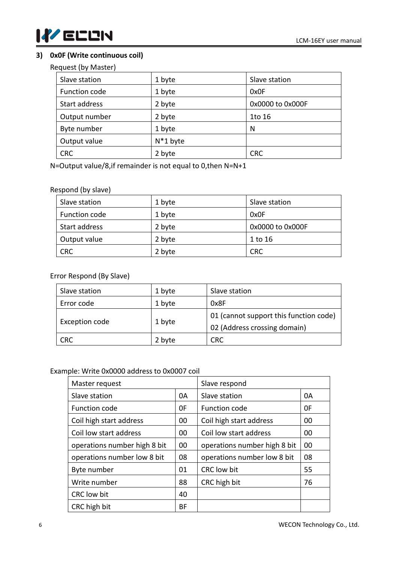

#### **3) 0x0F (Write continuous coil)**

Request (by Master)

| Slave station | 1 byte      | Slave station    |
|---------------|-------------|------------------|
| Function code | 1 byte      | 0x0F             |
| Start address | 2 byte      | 0x0000 to 0x000F |
| Output number | 2 byte      | 1to 16           |
| Byte number   | 1 byte      | N                |
| Output value  | $N^*1$ byte |                  |
| <b>CRC</b>    | 2 byte      | <b>CRC</b>       |

N=Output value/8,if remainder is not equal to 0,then N=N+1

#### Respond (by slave)

| Slave station | 1 byte | Slave station    |
|---------------|--------|------------------|
| Function code | 1 byte | 0x0F             |
| Start address | 2 byte | 0x0000 to 0x000F |
| Output value  | 2 byte | 1 to 16          |
| <b>CRC</b>    | 2 byte | <b>CRC</b>       |

#### Error Respond (By Slave)

| Slave station  | 1 byte | Slave station                          |
|----------------|--------|----------------------------------------|
| Error code     | 1 byte | 0x8F                                   |
|                |        | 01 (cannot support this function code) |
| Exception code | 1 byte | 02 (Address crossing domain)           |
| <b>CRC</b>     | 2 byte | <b>CRC</b>                             |

#### Example: Write 0x0000 address to 0x0007 coil

| Master request               |    | Slave respond                |    |
|------------------------------|----|------------------------------|----|
| Slave station                | 0A | Slave station                | 0A |
| Function code                | 0F | Function code                | 0F |
| Coil high start address      | 00 | Coil high start address      | 00 |
| Coil low start address       | 00 | Coil low start address       | 00 |
| operations number high 8 bit | 00 | operations number high 8 bit | 00 |
| operations number low 8 bit  | 08 | operations number low 8 bit  | 08 |
| Byte number                  | 01 | CRC low bit                  | 55 |
| Write number                 | 88 | CRC high bit                 | 76 |
| CRC low bit                  | 40 |                              |    |
| CRC high bit                 | BF |                              |    |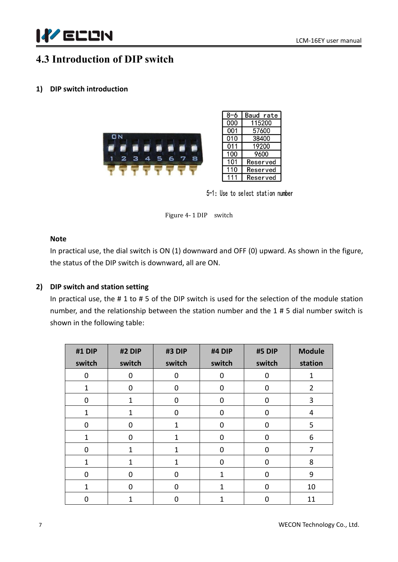

## **4.3 Introduction of DIP switch**

#### **1) DIP switch introduction**





5-1: Use to select station number

Figure 4- 1 DIP switch

#### **Note**

In practical use, the dial switch is ON (1) downward and OFF (0) upward. As shown in the figure, the status of the DIP switch is downward, all are ON.

#### **2) DIP switch and station setting**

In practical use, the #1 to #5 of the DIP switch is used for the selection of the module station number, and the relationship between the station number and the 1 # 5 dial number switch is shown in the following table:

| #1 DIP       | #2 DIP       | #3 DIP       | #4 DIP           | #5 DIP      | <b>Module</b>  |
|--------------|--------------|--------------|------------------|-------------|----------------|
| switch       | switch       | switch       | switch           | switch      | station        |
| $\mathbf 0$  | $\mathbf 0$  | $\pmb{0}$    | $\mathbf 0$      | $\mathbf 0$ | 1              |
| 1            | $\mathbf 0$  | $\pmb{0}$    | $\mathbf 0$      | $\mathbf 0$ | $\overline{2}$ |
| $\mathbf{0}$ | $\mathbf{1}$ | $\mathbf 0$  | $\mathbf 0$      | $\mathbf 0$ | 3              |
| $\mathbf{1}$ | $\mathbf{1}$ | $\pmb{0}$    | $\mathbf 0$      | $\mathbf 0$ | $\overline{4}$ |
| $\mathbf 0$  | $\mathbf 0$  | $\mathbf{1}$ | $\mathbf 0$      | $\mathbf 0$ | 5              |
| $\mathbf{1}$ | $\mathbf 0$  | 1            | $\mathbf 0$      | $\mathbf 0$ | $6\,$          |
| $\mathbf 0$  | $\mathbf{1}$ | 1            | $\boldsymbol{0}$ | $\mathbf 0$ | 7              |
| $\mathbf 1$  | 1            | 1            | $\boldsymbol{0}$ | $\mathbf 0$ | 8              |
| $\mathbf 0$  | $\mathbf 0$  | $\pmb{0}$    | $\mathbf{1}$     | $\mathbf 0$ | $9$            |
| 1            | $\mathbf 0$  | $\mathbf 0$  | 1                | $\mathbf 0$ | 10             |
| $\mathbf 0$  | $\mathbf{1}$ | $\mathbf 0$  | $\mathbf{1}$     | $\mathbf 0$ | 11             |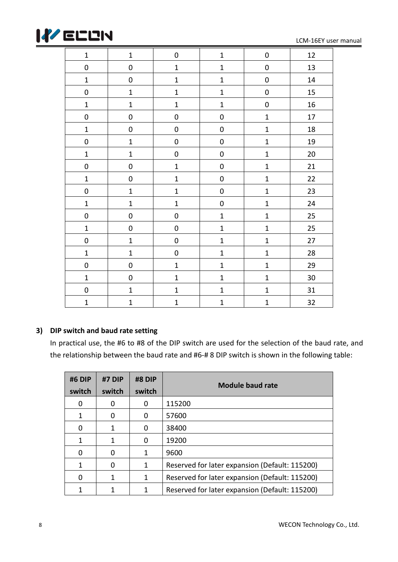

LCM-16EY user manual

| $\mathbf 1$      | $\mathbf{1}$     | $\pmb{0}$        | $\mathbf 1$  | $\pmb{0}$        | 12 |
|------------------|------------------|------------------|--------------|------------------|----|
| $\pmb{0}$        | $\pmb{0}$        | $\mathbf 1$      | $\mathbf 1$  | $\pmb{0}$        | 13 |
| $\mathbf 1$      | $\pmb{0}$        | ${\bf 1}$        | $\mathbf 1$  | $\boldsymbol{0}$ | 14 |
| $\pmb{0}$        | $\mathbf{1}$     | $\mathbf{1}$     | $\mathbf{1}$ | $\boldsymbol{0}$ | 15 |
| $\mathbf 1$      | $\mathbf{1}$     | $\mathbf{1}$     | $\mathbf{1}$ | $\mathbf 0$      | 16 |
| $\pmb{0}$        | $\boldsymbol{0}$ | $\boldsymbol{0}$ | $\pmb{0}$    | $\mathbf{1}$     | 17 |
| $\mathbf 1$      | $\pmb{0}$        | $\pmb{0}$        | $\pmb{0}$    | $\mathbf{1}$     | 18 |
| $\pmb{0}$        | $\mathbf 1$      | $\pmb{0}$        | $\pmb{0}$    | $\mathbf 1$      | 19 |
| $\mathbf{1}$     | $\mathbf{1}$     | $\boldsymbol{0}$ | $\pmb{0}$    | $\mathbf{1}$     | 20 |
| $\pmb{0}$        | $\pmb{0}$        | $\mathbf 1$      | $\pmb{0}$    | $\mathbf{1}$     | 21 |
| $\mathbf 1$      | $\pmb{0}$        | $\mathbf 1$      | $\pmb{0}$    | $\mathbf 1$      | 22 |
| $\boldsymbol{0}$ | $\mathbf 1$      | $\mathbf 1$      | $\pmb{0}$    | $\mathbf 1$      | 23 |
| $\mathbf 1$      | $\mathbf 1$      | $\mathbf 1$      | $\pmb{0}$    | $\mathbf 1$      | 24 |
| $\pmb{0}$        | $\pmb{0}$        | $\boldsymbol{0}$ | $\mathbf 1$  | $\mathbf 1$      | 25 |
| $\mathbf 1$      | $\pmb{0}$        | $\boldsymbol{0}$ | $\mathbf 1$  | $\mathbf{1}$     | 25 |
| $\pmb{0}$        | $\mathbf 1$      | $\boldsymbol{0}$ | $\mathbf{1}$ | $\mathbf{1}$     | 27 |
| $\mathbf 1$      | $\mathbf 1$      | $\boldsymbol{0}$ | $\mathbf{1}$ | $\mathbf{1}$     | 28 |
| $\pmb{0}$        | $\boldsymbol{0}$ | $\mathbf 1$      | $\mathbf 1$  | $\mathbf 1$      | 29 |
| $\mathbf 1$      | $\pmb{0}$        | $\mathbf{1}$     | $\mathbf 1$  | $\mathbf 1$      | 30 |
| $\pmb{0}$        | $\mathbf{1}$     | $\mathbf 1$      | $\mathbf 1$  | $\mathbf 1$      | 31 |
| $\mathbf{1}$     | $\mathbf{1}$     | $\mathbf{1}$     | $\mathbf{1}$ | $\mathbf{1}$     | 32 |

#### **3) DIP switch and baud rate setting**

In practical use, the #6 to #8 of the DIP switch are used for the selection of the baud rate, and the relationship between the baud rate and #6-# 8 DIP switch is shown in the following table:

| #6 DIP<br>switch | #7 DIP<br>switch | #8 DIP<br>switch | <b>Module baud rate</b>                        |
|------------------|------------------|------------------|------------------------------------------------|
|                  | 0                | 0                | 115200                                         |
|                  | 0                | 0                | 57600                                          |
|                  |                  | 0                | 38400                                          |
|                  |                  | 0                | 19200                                          |
|                  | O                | 1                | 9600                                           |
|                  | O                | 1                | Reserved for later expansion (Default: 115200) |
|                  |                  | 1                | Reserved for later expansion (Default: 115200) |
|                  |                  | 1                | Reserved for later expansion (Default: 115200) |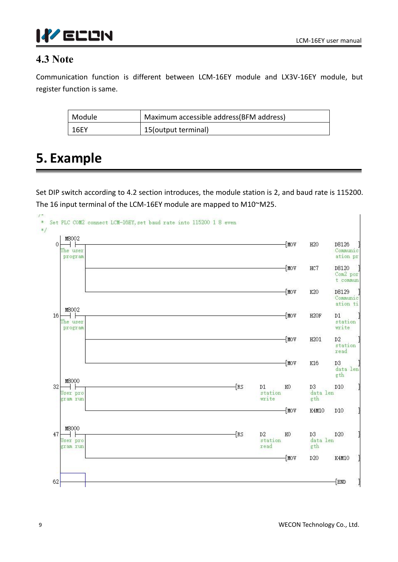

## **4.3 Note**

Communication function is different between LCM-16EY module and LX3V-16EY module, but

| register function is same. |                                          |  |
|----------------------------|------------------------------------------|--|
| Module                     | Maximum accessible address (BFM address) |  |
| <b>16EY</b>                | 15(output terminal)                      |  |

# **5. Example**

Set DIP switch according to 4.2 section introduces, the module station is 2, and baud rate is 115200. The 16 input terminal of the LCM-16EY module are mapped to M10~M25.